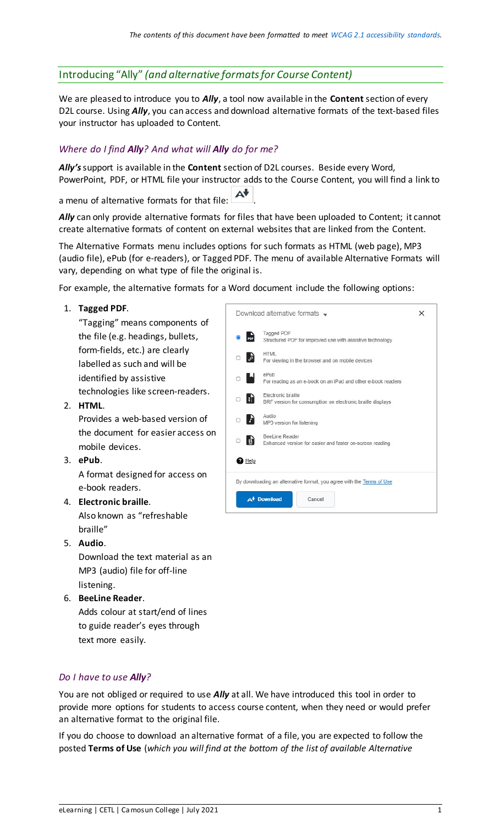## Introducing "Ally" *(and alternative formats for Course Content)*

We are pleased to introduce you to *Ally*, a tool now available in the **Content** section of every D2L course. Using *Ally*, you can access and download alternative formats of the text-based files your instructor has uploaded to Content.

## *Where do I find Ally? And what will Ally do for me?*

*Ally's*support is available in the **Content** section of D2L courses. Beside every Word, PowerPoint, PDF, or HTML file your instructor adds to the Course Content, you will find a link to

a menu of alternative formats for that file:  $\overline{\mathbf{A}^*}$ 

Ally can only provide alternative formats for files that have been uploaded to Content; it cannot create alternative formats of content on external websites that are linked from the Content.

The Alternative Formats menu includes options for such formats as HTML (web page), MP3 (audio file), ePub (for e-readers), or Tagged PDF. The menu of available Alternative Formats will vary, depending on what type of file the original is.

For example, the alternative formats for a Word document include the following options:

| 1. | Tagged PDF.<br>"Tagging" means components of                                                                       | Download alternative formats $\rightarrow$<br>$\times$ |                                                                                  |  |
|----|--------------------------------------------------------------------------------------------------------------------|--------------------------------------------------------|----------------------------------------------------------------------------------|--|
|    | the file (e.g. headings, bullets,                                                                                  |                                                        | Tagged PDF<br>Structured PDF for improved use with assistive technology          |  |
|    | form-fields, etc.) are clearly<br>labelled as such and will be                                                     |                                                        | <b>HTML</b><br>For viewing in the browser and on mobile devices                  |  |
|    | identified by assistive                                                                                            |                                                        | ePub<br>For reading as an e-book on an iPad and other e-book readers             |  |
| 2. | technologies like screen-readers.<br>HTML.                                                                         |                                                        | Electronic braille<br>BRF version for consumption on electronic braille displays |  |
|    | Provides a web-based version of                                                                                    |                                                        | Audio<br>MP3 version for listening                                               |  |
|    | the document for easier access on<br>mobile devices.                                                               |                                                        | BeeLine Reader<br>Enhanced version for easier and faster on-screen reading       |  |
|    | 3. ePub.                                                                                                           | $\mathbf a$ Help                                       |                                                                                  |  |
|    | A format designed for access on<br>e-book readers.                                                                 |                                                        | By downloading an alternative format, you agree with the Terms of Use            |  |
|    | 4. Electronic braille.                                                                                             |                                                        | A <sup>+</sup> Download<br>Cancel                                                |  |
|    | Also known as "refreshable                                                                                         |                                                        |                                                                                  |  |
| 5. | braille"<br>Audio.                                                                                                 |                                                        |                                                                                  |  |
|    | Download the text material as an<br>MP3 (audio) file for off-line<br>listening.                                    |                                                        |                                                                                  |  |
| 6. | <b>BeeLine Reader.</b><br>Adds colour at start/end of lines<br>to guide reader's eyes through<br>text more easily. |                                                        |                                                                                  |  |

## *Do I have to use Ally?*

You are not obliged or required to use *Ally* at all. We have introduced this tool in order to provide more options for students to access course content, when they need or would prefer an alternative format to the original file.

If you do choose to download an alternative format of a file, you are expected to follow the posted **Terms of Use** (*which you will find at the bottom of the list of available Alternative*